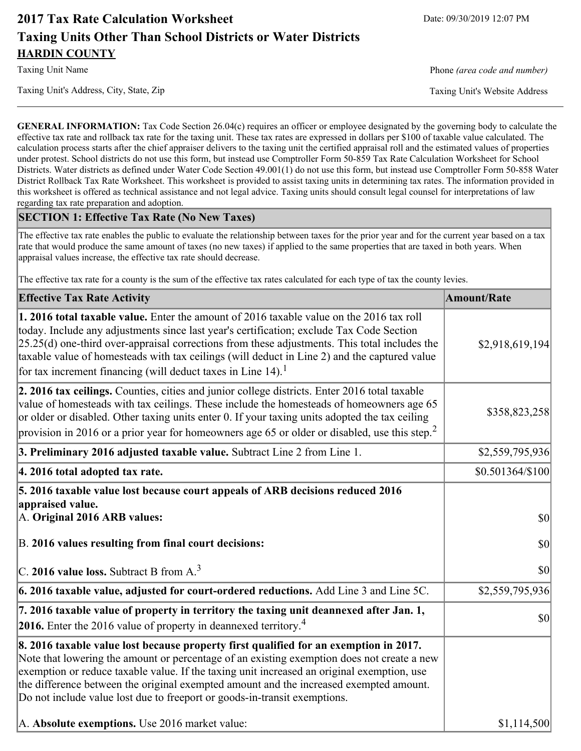# **2017 Tax Rate Calculation Worksheet** Date: 09/30/2019 12:07 PM **Taxing Units Other Than School Districts or Water Districts HARDIN COUNTY**

Taxing Unit's Address, City, State, Zip Taxing Unit's Website Address

Taxing Unit Name **Phone** *(area code and number)* Phone *(area code and number)* 

**GENERAL INFORMATION:** Tax Code Section 26.04(c) requires an officer or employee designated by the governing body to calculate the effective tax rate and rollback tax rate for the taxing unit. These tax rates are expressed in dollars per \$100 of taxable value calculated. The calculation process starts after the chief appraiser delivers to the taxing unit the certified appraisal roll and the estimated values of properties under protest. School districts do not use this form, but instead use Comptroller Form 50-859 Tax Rate Calculation Worksheet for School Districts. Water districts as defined under Water Code Section 49.001(1) do not use this form, but instead use Comptroller Form 50-858 Water District Rollback Tax Rate Worksheet. This worksheet is provided to assist taxing units in determining tax rates. The information provided in this worksheet is offered as technical assistance and not legal advice. Taxing units should consult legal counsel for interpretations of law regarding tax rate preparation and adoption.

#### **SECTION 1: Effective Tax Rate (No New Taxes)**

The effective tax rate enables the public to evaluate the relationship between taxes for the prior year and for the current year based on a tax rate that would produce the same amount of taxes (no new taxes) if applied to the same properties that are taxed in both years. When appraisal values increase, the effective tax rate should decrease.

The effective tax rate for a county is the sum of the effective tax rates calculated for each type of tax the county levies.

| <b>Effective Tax Rate Activity</b>                                                                                                                                                                                                                                                                                                                                                                                                                                                                         | <b>Amount/Rate</b> |
|------------------------------------------------------------------------------------------------------------------------------------------------------------------------------------------------------------------------------------------------------------------------------------------------------------------------------------------------------------------------------------------------------------------------------------------------------------------------------------------------------------|--------------------|
| 1. 2016 total taxable value. Enter the amount of 2016 taxable value on the 2016 tax roll<br>today. Include any adjustments since last year's certification; exclude Tax Code Section<br>$[25.25(d)$ one-third over-appraisal corrections from these adjustments. This total includes the<br>taxable value of homesteads with tax ceilings (will deduct in Line 2) and the captured value<br>for tax increment financing (will deduct taxes in Line $14$ ). <sup>1</sup>                                    | \$2,918,619,194    |
| 2. 2016 tax ceilings. Counties, cities and junior college districts. Enter 2016 total taxable<br>value of homesteads with tax ceilings. These include the homesteads of homeowners age 65<br>or older or disabled. Other taxing units enter 0. If your taxing units adopted the tax ceiling<br>provision in 2016 or a prior year for homeowners age 65 or older or disabled, use this step. <sup>2</sup>                                                                                                   | \$358,823,258      |
| 3. Preliminary 2016 adjusted taxable value. Subtract Line 2 from Line 1.                                                                                                                                                                                                                                                                                                                                                                                                                                   | \$2,559,795,936    |
| 4. 2016 total adopted tax rate.                                                                                                                                                                                                                                                                                                                                                                                                                                                                            | \$0.501364/\$100   |
| 5. 2016 taxable value lost because court appeals of ARB decisions reduced 2016<br>appraised value.<br>A. Original 2016 ARB values:                                                                                                                                                                                                                                                                                                                                                                         | $ 10\rangle$       |
| B. 2016 values resulting from final court decisions:                                                                                                                                                                                                                                                                                                                                                                                                                                                       | 30                 |
| $\vert$ C. 2016 value loss. Subtract B from A. <sup>3</sup>                                                                                                                                                                                                                                                                                                                                                                                                                                                | \$0                |
| 6. 2016 taxable value, adjusted for court-ordered reductions. Add Line 3 and Line 5C.                                                                                                                                                                                                                                                                                                                                                                                                                      | \$2,559,795,936    |
| 7. 2016 taxable value of property in territory the taxing unit deannexed after Jan. 1,<br><b>2016.</b> Enter the 2016 value of property in deannexed territory. <sup>4</sup>                                                                                                                                                                                                                                                                                                                               | \$0                |
| 8. 2016 taxable value lost because property first qualified for an exemption in 2017.<br>Note that lowering the amount or percentage of an existing exemption does not create a new<br>exemption or reduce taxable value. If the taxing unit increased an original exemption, use<br>the difference between the original exempted amount and the increased exempted amount.<br>Do not include value lost due to freeport or goods-in-transit exemptions.<br>A. Absolute exemptions. Use 2016 market value: | \$1,114,500        |
|                                                                                                                                                                                                                                                                                                                                                                                                                                                                                                            |                    |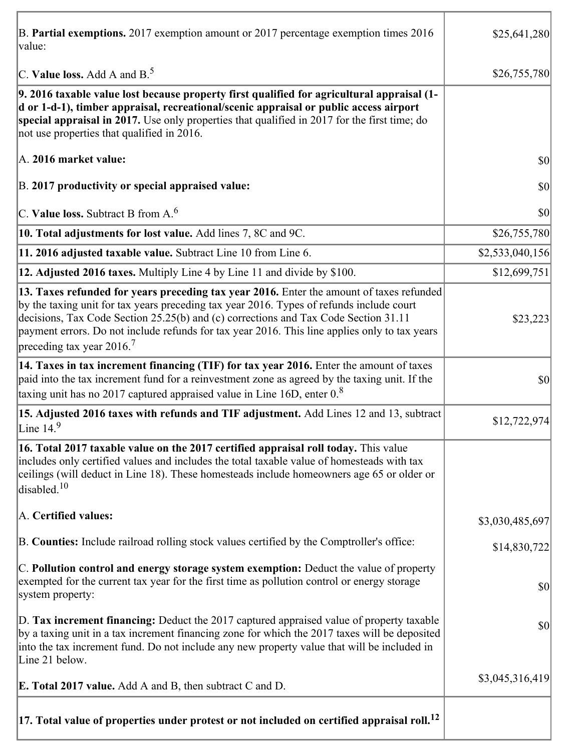| B. Partial exemptions. 2017 exemption amount or 2017 percentage exemption times 2016<br>value:                                                                                                                                                                                                                                                                                                                        | \$25,641,280    |
|-----------------------------------------------------------------------------------------------------------------------------------------------------------------------------------------------------------------------------------------------------------------------------------------------------------------------------------------------------------------------------------------------------------------------|-----------------|
| C. Value loss. Add A and $B^5$ .                                                                                                                                                                                                                                                                                                                                                                                      | \$26,755,780    |
| 9. 2016 taxable value lost because property first qualified for agricultural appraisal (1-<br>d or 1-d-1), timber appraisal, recreational/scenic appraisal or public access airport<br>special appraisal in 2017. Use only properties that qualified in 2017 for the first time; do<br>not use properties that qualified in 2016.                                                                                     |                 |
| A. 2016 market value:                                                                                                                                                                                                                                                                                                                                                                                                 | \$0             |
| B. 2017 productivity or special appraised value:                                                                                                                                                                                                                                                                                                                                                                      | \$0             |
| C. Value loss. Subtract B from $A6$                                                                                                                                                                                                                                                                                                                                                                                   | \$0             |
| 10. Total adjustments for lost value. Add lines 7, 8C and 9C.                                                                                                                                                                                                                                                                                                                                                         | \$26,755,780    |
| 11. 2016 adjusted taxable value. Subtract Line 10 from Line 6.                                                                                                                                                                                                                                                                                                                                                        | \$2,533,040,156 |
| 12. Adjusted 2016 taxes. Multiply Line 4 by Line 11 and divide by \$100.                                                                                                                                                                                                                                                                                                                                              | \$12,699,751    |
| 13. Taxes refunded for years preceding tax year 2016. Enter the amount of taxes refunded<br>by the taxing unit for tax years preceding tax year 2016. Types of refunds include court<br>decisions, Tax Code Section 25.25(b) and (c) corrections and Tax Code Section 31.11<br>payment errors. Do not include refunds for tax year 2016. This line applies only to tax years<br>preceding tax year 2016. <sup>7</sup> | \$23,223        |
| 14. Taxes in tax increment financing (TIF) for tax year 2016. Enter the amount of taxes<br>paid into the tax increment fund for a reinvestment zone as agreed by the taxing unit. If the<br>taxing unit has no 2017 captured appraised value in Line 16D, enter $0.8$                                                                                                                                                 | \$0             |
| 15. Adjusted 2016 taxes with refunds and TIF adjustment. Add Lines 12 and 13, subtract<br>Line $149$                                                                                                                                                                                                                                                                                                                  | \$12,722,974    |
| 16. Total 2017 taxable value on the 2017 certified appraisal roll today. This value<br>includes only certified values and includes the total taxable value of homesteads with tax<br>ceilings (will deduct in Line 18). These homesteads include homeowners age 65 or older or<br>disabled. <sup>10</sup>                                                                                                             |                 |
| A. Certified values:                                                                                                                                                                                                                                                                                                                                                                                                  | \$3,030,485,697 |
| B. Counties: Include railroad rolling stock values certified by the Comptroller's office:                                                                                                                                                                                                                                                                                                                             | \$14,830,722    |
| C. Pollution control and energy storage system exemption: Deduct the value of property<br>exempted for the current tax year for the first time as pollution control or energy storage<br>system property:                                                                                                                                                                                                             | \$0             |
| D. Tax increment financing: Deduct the 2017 captured appraised value of property taxable<br>by a taxing unit in a tax increment financing zone for which the 2017 taxes will be deposited<br>into the tax increment fund. Do not include any new property value that will be included in<br>Line 21 below.                                                                                                            | \$0             |
| <b>E. Total 2017 value.</b> Add A and B, then subtract C and D.                                                                                                                                                                                                                                                                                                                                                       | \$3,045,316,419 |
| $ 17.$ Total value of properties under protest or not included on certified appraisal roll. $^{12}$                                                                                                                                                                                                                                                                                                                   |                 |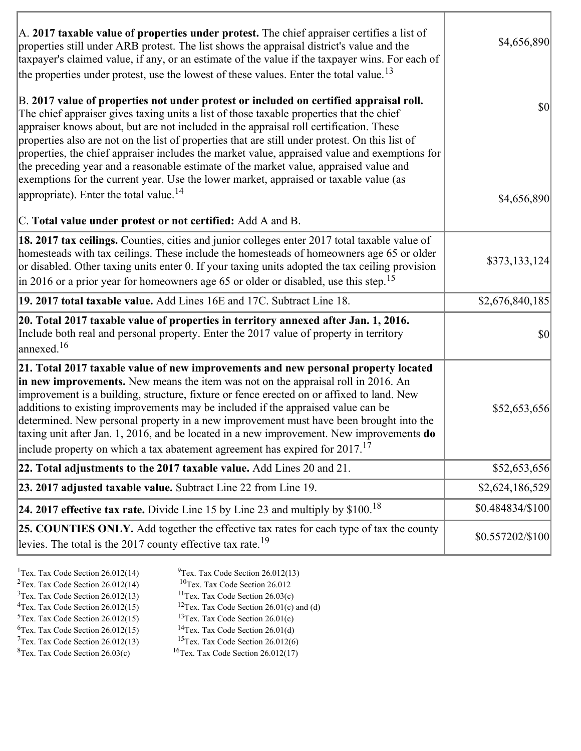| A. 2017 taxable value of properties under protest. The chief appraiser certifies a list of<br>properties still under ARB protest. The list shows the appraisal district's value and the<br>taxpayer's claimed value, if any, or an estimate of the value if the taxpayer wins. For each of<br>the properties under protest, use the lowest of these values. Enter the total value. <sup>13</sup>                                                                                                                                                                                                                                                                                                                         | \$4,656,890      |
|--------------------------------------------------------------------------------------------------------------------------------------------------------------------------------------------------------------------------------------------------------------------------------------------------------------------------------------------------------------------------------------------------------------------------------------------------------------------------------------------------------------------------------------------------------------------------------------------------------------------------------------------------------------------------------------------------------------------------|------------------|
| B. 2017 value of properties not under protest or included on certified appraisal roll.<br>The chief appraiser gives taxing units a list of those taxable properties that the chief<br>appraiser knows about, but are not included in the appraisal roll certification. These<br>properties also are not on the list of properties that are still under protest. On this list of<br>properties, the chief appraiser includes the market value, appraised value and exemptions for<br>the preceding year and a reasonable estimate of the market value, appraised value and<br>exemptions for the current year. Use the lower market, appraised or taxable value (as<br>appropriate). Enter the total value. <sup>14</sup> | $ 10\rangle$     |
| C. Total value under protest or not certified: Add A and B.                                                                                                                                                                                                                                                                                                                                                                                                                                                                                                                                                                                                                                                              | \$4,656,890      |
| 18. 2017 tax ceilings. Counties, cities and junior colleges enter 2017 total taxable value of<br>homesteads with tax ceilings. These include the homesteads of homeowners age 65 or older<br>or disabled. Other taxing units enter 0. If your taxing units adopted the tax ceiling provision<br>in 2016 or a prior year for homeowners age 65 or older or disabled, use this step. <sup>15</sup>                                                                                                                                                                                                                                                                                                                         | \$373,133,124    |
| 19. 2017 total taxable value. Add Lines 16E and 17C. Subtract Line 18.                                                                                                                                                                                                                                                                                                                                                                                                                                                                                                                                                                                                                                                   | \$2,676,840,185  |
| 20. Total 2017 taxable value of properties in territory annexed after Jan. 1, 2016.<br>Include both real and personal property. Enter the 2017 value of property in territory<br>$\frac{16}{2}$                                                                                                                                                                                                                                                                                                                                                                                                                                                                                                                          | 30               |
| 21. Total 2017 taxable value of new improvements and new personal property located<br>in new improvements. New means the item was not on the appraisal roll in 2016. An<br>improvement is a building, structure, fixture or fence erected on or affixed to land. New<br>additions to existing improvements may be included if the appraised value can be<br>determined. New personal property in a new improvement must have been brought into the<br>taxing unit after Jan. 1, 2016, and be located in a new improvement. New improvements do<br>include property on which a tax abatement agreement has expired for $2017$ . <sup>17</sup>                                                                             | \$52,653,656     |
| 22. Total adjustments to the 2017 taxable value. Add Lines 20 and 21.                                                                                                                                                                                                                                                                                                                                                                                                                                                                                                                                                                                                                                                    | \$52,653,656     |
| 23. 2017 adjusted taxable value. Subtract Line 22 from Line 19.                                                                                                                                                                                                                                                                                                                                                                                                                                                                                                                                                                                                                                                          | \$2,624,186,529  |
| 24. 2017 effective tax rate. Divide Line 15 by Line 23 and multiply by $$100$ . <sup>18</sup>                                                                                                                                                                                                                                                                                                                                                                                                                                                                                                                                                                                                                            | \$0.484834/\$100 |
| 25. COUNTIES ONLY. Add together the effective tax rates for each type of tax the county<br>levies. The total is the 2017 county effective tax rate. <sup>19</sup>                                                                                                                                                                                                                                                                                                                                                                                                                                                                                                                                                        | \$0.557202/\$100 |

ĭ

| <sup>1</sup> Tex. Tax Code Section $26.012(14)$ | $9$ Tex. Tax Code Section 26.012(13)                 |
|-------------------------------------------------|------------------------------------------------------|
| <sup>2</sup> Tex. Tax Code Section $26.012(14)$ | ${}^{10}$ Tex. Tax Code Section 26.012               |
| $3$ Tex. Tax Code Section 26.012(13)            | <sup>11</sup> Tex. Tax Code Section $26.03(c)$       |
| <sup>4</sup> Tex. Tax Code Section $26.012(15)$ | <sup>12</sup> Tex. Tax Code Section 26.01(c) and (d) |
| $5$ Tex. Tax Code Section 26.012(15)            | <sup>13</sup> Tex. Tax Code Section $26.01(c)$       |
| ${}^{6}$ Tex. Tax Code Section 26.012(15)       | <sup>14</sup> Tex. Tax Code Section $26.01(d)$       |
| $7$ Tex. Tax Code Section 26.012(13)            | <sup>15</sup> Tex. Tax Code Section $26.012(6)$      |
|                                                 |                                                      |

I

 ${}^{8}$ Tex. Tax Code Section 26.03(c)  ${}^{16}$ Tex. Tax Code Section 26.012(17)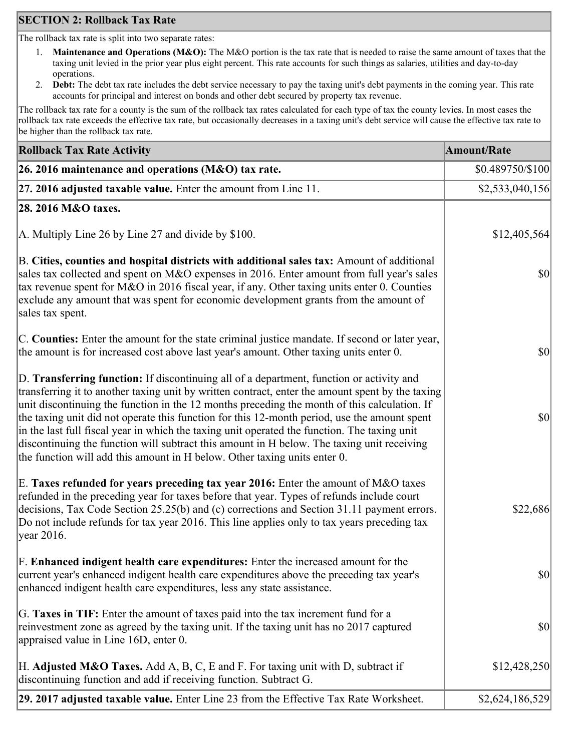## **SECTION 2: Rollback Tax Rate**

The rollback tax rate is split into two separate rates:

- 1. **Maintenance and Operations (M&O):** The M&O portion is the tax rate that is needed to raise the same amount of taxes that the taxing unit levied in the prior year plus eight percent. This rate accounts for such things as salaries, utilities and day-to-day operations.
- 2. **Debt:** The debt tax rate includes the debt service necessary to pay the taxing unit's debt payments in the coming year. This rate accounts for principal and interest on bonds and other debt secured by property tax revenue.

The rollback tax rate for a county is the sum of the rollback tax rates calculated for each type of tax the county levies. In most cases the rollback tax rate exceeds the effective tax rate, but occasionally decreases in a taxing unit's debt service will cause the effective tax rate to be higher than the rollback tax rate.

| <b>Rollback Tax Rate Activity</b>                                                                                                                                                                                                                                                                                                                                                                                                                                                                                                                                                                                                                                       | <b>Amount/Rate</b> |
|-------------------------------------------------------------------------------------------------------------------------------------------------------------------------------------------------------------------------------------------------------------------------------------------------------------------------------------------------------------------------------------------------------------------------------------------------------------------------------------------------------------------------------------------------------------------------------------------------------------------------------------------------------------------------|--------------------|
| 26. 2016 maintenance and operations ( $M&O$ ) tax rate.                                                                                                                                                                                                                                                                                                                                                                                                                                                                                                                                                                                                                 | \$0.489750/\$100   |
| 27. 2016 adjusted taxable value. Enter the amount from Line 11.                                                                                                                                                                                                                                                                                                                                                                                                                                                                                                                                                                                                         | \$2,533,040,156    |
| 28. 2016 M&O taxes.                                                                                                                                                                                                                                                                                                                                                                                                                                                                                                                                                                                                                                                     |                    |
| A. Multiply Line 26 by Line 27 and divide by \$100.                                                                                                                                                                                                                                                                                                                                                                                                                                                                                                                                                                                                                     | \$12,405,564       |
| B. Cities, counties and hospital districts with additional sales tax: Amount of additional<br>sales tax collected and spent on M&O expenses in 2016. Enter amount from full year's sales<br>tax revenue spent for M&O in 2016 fiscal year, if any. Other taxing units enter 0. Counties<br>exclude any amount that was spent for economic development grants from the amount of<br>sales tax spent.                                                                                                                                                                                                                                                                     | <b>\$0</b>         |
| C. Counties: Enter the amount for the state criminal justice mandate. If second or later year,<br>the amount is for increased cost above last year's amount. Other taxing units enter 0.                                                                                                                                                                                                                                                                                                                                                                                                                                                                                | $ 10\rangle$       |
| D. Transferring function: If discontinuing all of a department, function or activity and<br>transferring it to another taxing unit by written contract, enter the amount spent by the taxing<br>unit discontinuing the function in the 12 months preceding the month of this calculation. If<br>the taxing unit did not operate this function for this 12-month period, use the amount spent<br>in the last full fiscal year in which the taxing unit operated the function. The taxing unit<br>discontinuing the function will subtract this amount in H below. The taxing unit receiving<br>the function will add this amount in H below. Other taxing units enter 0. | $ 10\rangle$       |
| E. Taxes refunded for years preceding tax year 2016: Enter the amount of M&O taxes<br>refunded in the preceding year for taxes before that year. Types of refunds include court<br>decisions, Tax Code Section 25.25(b) and (c) corrections and Section 31.11 payment errors.<br>Do not include refunds for tax year 2016. This line applies only to tax years preceding tax<br> year 2016.                                                                                                                                                                                                                                                                             | \$22,686           |
| F. Enhanced indigent health care expenditures: Enter the increased amount for the<br>current year's enhanced indigent health care expenditures above the preceding tax year's<br>enhanced indigent health care expenditures, less any state assistance.                                                                                                                                                                                                                                                                                                                                                                                                                 | <b>\$0</b>         |
| G. Taxes in TIF: Enter the amount of taxes paid into the tax increment fund for a<br>reinvestment zone as agreed by the taxing unit. If the taxing unit has no 2017 captured<br>appraised value in Line 16D, enter 0.                                                                                                                                                                                                                                                                                                                                                                                                                                                   | $ 10\rangle$       |
| H. Adjusted M&O Taxes. Add A, B, C, E and F. For taxing unit with D, subtract if<br>discontinuing function and add if receiving function. Subtract G.                                                                                                                                                                                                                                                                                                                                                                                                                                                                                                                   | \$12,428,250       |
| 29. 2017 adjusted taxable value. Enter Line 23 from the Effective Tax Rate Worksheet.                                                                                                                                                                                                                                                                                                                                                                                                                                                                                                                                                                                   | \$2,624,186,529    |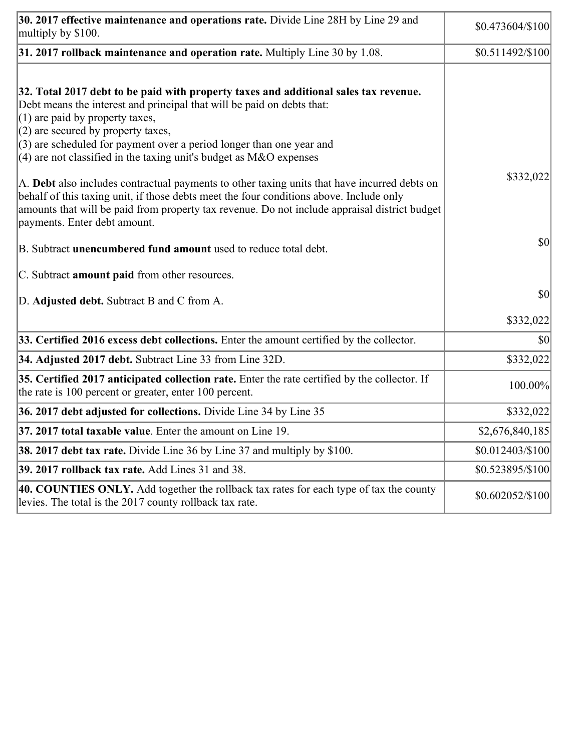| 30. 2017 effective maintenance and operations rate. Divide Line 28H by Line 29 and<br>multiply by \$100.                                                                                                                                                                                                                                                                                      | \$0.473604/\$100              |
|-----------------------------------------------------------------------------------------------------------------------------------------------------------------------------------------------------------------------------------------------------------------------------------------------------------------------------------------------------------------------------------------------|-------------------------------|
| $31.2017$ rollback maintenance and operation rate. Multiply Line 30 by 1.08.                                                                                                                                                                                                                                                                                                                  | \$0.511492/\$100              |
| 32. Total 2017 debt to be paid with property taxes and additional sales tax revenue.<br>Debt means the interest and principal that will be paid on debts that:<br>$(1)$ are paid by property taxes,<br>$(2)$ are secured by property taxes,<br>$(3)$ are scheduled for payment over a period longer than one year and<br>$(4)$ are not classified in the taxing unit's budget as M&O expenses |                               |
| A. Debt also includes contractual payments to other taxing units that have incurred debts on<br>behalf of this taxing unit, if those debts meet the four conditions above. Include only<br>amounts that will be paid from property tax revenue. Do not include appraisal district budget<br>payments. Enter debt amount.                                                                      | \$332,022                     |
| B. Subtract <b>unencumbered fund amount</b> used to reduce total debt.                                                                                                                                                                                                                                                                                                                        | \$0                           |
| C. Subtract amount paid from other resources.                                                                                                                                                                                                                                                                                                                                                 |                               |
| D. Adjusted debt. Subtract B and C from A.                                                                                                                                                                                                                                                                                                                                                    | \$0                           |
|                                                                                                                                                                                                                                                                                                                                                                                               | \$332,022                     |
| 33. Certified 2016 excess debt collections. Enter the amount certified by the collector.                                                                                                                                                                                                                                                                                                      | \$0                           |
| 34. Adjusted 2017 debt. Subtract Line 33 from Line 32D.                                                                                                                                                                                                                                                                                                                                       | \$332,022                     |
| 35. Certified 2017 anticipated collection rate. Enter the rate certified by the collector. If<br>the rate is 100 percent or greater, enter 100 percent.                                                                                                                                                                                                                                       | 100.00%                       |
| 36. 2017 debt adjusted for collections. Divide Line 34 by Line 35                                                                                                                                                                                                                                                                                                                             | \$332,022                     |
| 37. 2017 total taxable value. Enter the amount on Line 19.                                                                                                                                                                                                                                                                                                                                    | \$2,676,840,185               |
| <b>38. 2017 debt tax rate.</b> Divide Line 36 by Line 37 and multiply by \$100.                                                                                                                                                                                                                                                                                                               | \$0.012403/\$100              |
| 39. 2017 rollback tax rate. Add Lines 31 and 38.                                                                                                                                                                                                                                                                                                                                              | \$0.523895/\$100              |
| 40. COUNTIES ONLY. Add together the rollback tax rates for each type of tax the county<br>levies. The total is the 2017 county rollback tax rate.                                                                                                                                                                                                                                             | $$0.602052\allowbreak/\$100]$ |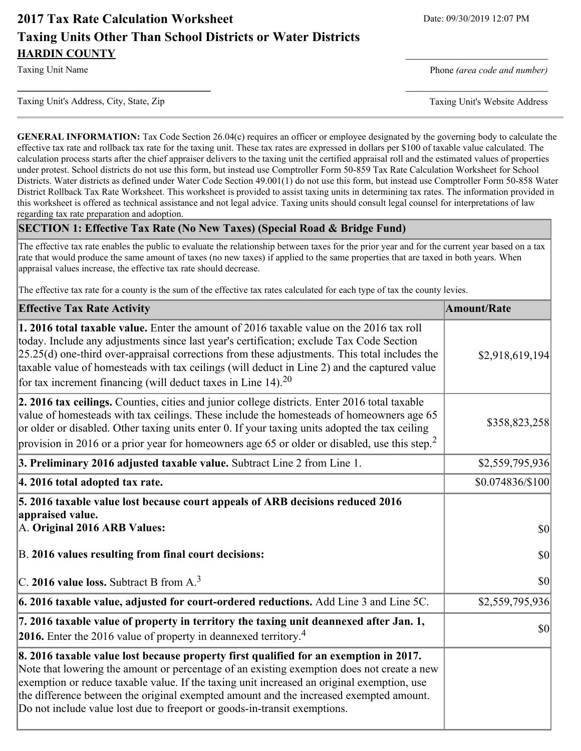# **2017 Tax Rate Calculation Worksheet** Date: 09/30/2019 12:07 PM **Taxing Units Other Than School Districts or Water Districts HARDIN COUNTY**

Taxing Unit's Address, City, State, Zip Taxing Unit's Website Address

Taxing Unit Name **Phone** *(area code and number)* Phone *(area code and number)* 

**GENERAL INFORMATION:** Tax Code Section 26.04(c) requires an officer or employee designated by the governing body to calculate the effective tax rate and rollback tax rate for the taxing unit. These tax rates are expressed in dollars per \$100 of taxable value calculated. The calculation process starts after the chief appraiser delivers to the taxing unit the certified appraisal roll and the estimated values of properties under protest. School districts do not use this form, but instead use Comptroller Form 50-859 Tax Rate Calculation Worksheet for School Districts. Water districts as defined under Water Code Section 49.001(1) do not use this form, but instead use Comptroller Form 50-858 Water District Rollback Tax Rate Worksheet. This worksheet is provided to assist taxing units in determining tax rates. The information provided in this worksheet is offered as technical assistance and not legal advice. Taxing units should consult legal counsel for interpretations of law regarding tax rate preparation and adoption.

**\_\_\_\_\_\_\_\_\_\_\_\_\_\_\_\_\_\_\_\_\_\_\_\_\_\_\_\_\_\_\_\_\_\_** \_\_\_\_\_\_\_\_\_\_\_\_\_\_\_\_\_\_\_\_\_\_\_\_\_

### **SECTION 1: Effective Tax Rate (No New Taxes) (Special Road & Bridge Fund)**

The effective tax rate enables the public to evaluate the relationship between taxes for the prior year and for the current year based on a tax rate that would produce the same amount of taxes (no new taxes) if applied to the same properties that are taxed in both years. When appraisal values increase, the effective tax rate should decrease.

The effective tax rate for a county is the sum of the effective tax rates calculated for each type of tax the county levies.

| <b>Effective Tax Rate Activity</b>                                                                                                                                                                                                                                                                                                                                                                                                                              | <b>Amount/Rate</b>                  |
|-----------------------------------------------------------------------------------------------------------------------------------------------------------------------------------------------------------------------------------------------------------------------------------------------------------------------------------------------------------------------------------------------------------------------------------------------------------------|-------------------------------------|
| 1. 2016 total taxable value. Enter the amount of 2016 taxable value on the 2016 tax roll<br>today. Include any adjustments since last year's certification; exclude Tax Code Section<br>$[25.25(d)$ one-third over-appraisal corrections from these adjustments. This total includes the<br>taxable value of homesteads with tax ceilings (will deduct in Line 2) and the captured value<br>for tax increment financing (will deduct taxes in Line 14). $^{20}$ | \$2,918,619,194                     |
| 2. 2016 tax ceilings. Counties, cities and junior college districts. Enter 2016 total taxable<br>value of homesteads with tax ceilings. These include the homesteads of homeowners age 65<br>or older or disabled. Other taxing units enter 0. If your taxing units adopted the tax ceiling<br>provision in 2016 or a prior year for homeowners age 65 or older or disabled, use this step. <sup>2</sup>                                                        | \$358,823,258                       |
| 3. Preliminary 2016 adjusted taxable value. Subtract Line 2 from Line 1.                                                                                                                                                                                                                                                                                                                                                                                        | \$2,559,795,936                     |
| 4. 2016 total adopted tax rate.                                                                                                                                                                                                                                                                                                                                                                                                                                 | \$0.074836/\$100                    |
| 5. 2016 taxable value lost because court appeals of ARB decisions reduced 2016<br>appraised value.<br>A. Original 2016 ARB Values:                                                                                                                                                                                                                                                                                                                              | $ 10\rangle$                        |
| B. 2016 values resulting from final court decisions:                                                                                                                                                                                                                                                                                                                                                                                                            | $ 10\rangle$                        |
| C. 2016 value loss. Subtract B from $A3$                                                                                                                                                                                                                                                                                                                                                                                                                        | 30                                  |
| $\vert$ 6. 2016 taxable value, adjusted for court-ordered reductions. Add Line 3 and Line 5C.                                                                                                                                                                                                                                                                                                                                                                   | \$2,559,795,936                     |
| 7. 2016 taxable value of property in territory the taxing unit deannexed after Jan. 1,<br><b>2016.</b> Enter the 2016 value of property in deannexed territory. <sup>4</sup>                                                                                                                                                                                                                                                                                    | $\vert \mathbf{S} \mathbf{O} \vert$ |
| 8. 2016 taxable value lost because property first qualified for an exemption in 2017.<br>Note that lowering the amount or percentage of an existing exemption does not create a new<br>exemption or reduce taxable value. If the taxing unit increased an original exemption, use<br>the difference between the original exempted amount and the increased exempted amount.<br>Do not include value lost due to freeport or goods-in-transit exemptions.        |                                     |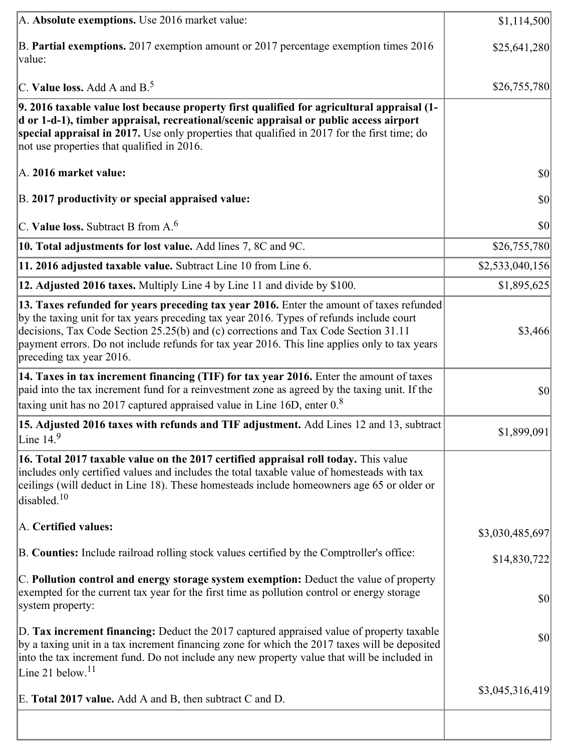| A. Absolute exemptions. Use 2016 market value:                                                                                                                                                                                                                                                                                                                                                           | \$1,114,500     |
|----------------------------------------------------------------------------------------------------------------------------------------------------------------------------------------------------------------------------------------------------------------------------------------------------------------------------------------------------------------------------------------------------------|-----------------|
| B. Partial exemptions. 2017 exemption amount or 2017 percentage exemption times 2016<br>value:                                                                                                                                                                                                                                                                                                           | \$25,641,280    |
| C. Value loss. Add A and $B^5$ .                                                                                                                                                                                                                                                                                                                                                                         | \$26,755,780    |
| 9. 2016 taxable value lost because property first qualified for agricultural appraisal (1-<br>d or 1-d-1), timber appraisal, recreational/scenic appraisal or public access airport<br>special appraisal in 2017. Use only properties that qualified in 2017 for the first time; do<br>not use properties that qualified in 2016.                                                                        |                 |
| A. 2016 market value:                                                                                                                                                                                                                                                                                                                                                                                    | \$0             |
| B. 2017 productivity or special appraised value:                                                                                                                                                                                                                                                                                                                                                         | \$0             |
| C. Value loss. Subtract B from $A6$                                                                                                                                                                                                                                                                                                                                                                      | \$0             |
| 10. Total adjustments for lost value. Add lines 7, 8C and 9C.                                                                                                                                                                                                                                                                                                                                            | \$26,755,780    |
| 11. 2016 adjusted taxable value. Subtract Line 10 from Line 6.                                                                                                                                                                                                                                                                                                                                           | \$2,533,040,156 |
| 12. Adjusted 2016 taxes. Multiply Line 4 by Line 11 and divide by \$100.                                                                                                                                                                                                                                                                                                                                 | \$1,895,625     |
| 13. Taxes refunded for years preceding tax year 2016. Enter the amount of taxes refunded<br>by the taxing unit for tax years preceding tax year 2016. Types of refunds include court<br>decisions, Tax Code Section 25.25(b) and (c) corrections and Tax Code Section 31.11<br>payment errors. Do not include refunds for tax year 2016. This line applies only to tax years<br>preceding tax year 2016. | \$3,466         |
| 14. Taxes in tax increment financing (TIF) for tax year 2016. Enter the amount of taxes<br>paid into the tax increment fund for a reinvestment zone as agreed by the taxing unit. If the<br>taxing unit has no 2017 captured appraised value in Line 16D, enter $08$                                                                                                                                     | \$0             |
| 15. Adjusted 2016 taxes with refunds and TIF adjustment. Add Lines 12 and 13, subtract<br>Line $14.9$                                                                                                                                                                                                                                                                                                    | \$1,899,091     |
| 16. Total 2017 taxable value on the 2017 certified appraisal roll today. This value<br>includes only certified values and includes the total taxable value of homesteads with tax<br>ceilings (will deduct in Line 18). These homesteads include homeowners age 65 or older or<br>disabled. $10$                                                                                                         |                 |
| A. Certified values:                                                                                                                                                                                                                                                                                                                                                                                     | \$3,030,485,697 |
| B. Counties: Include railroad rolling stock values certified by the Comptroller's office:                                                                                                                                                                                                                                                                                                                | \$14,830,722    |
| C. Pollution control and energy storage system exemption: Deduct the value of property<br>exempted for the current tax year for the first time as pollution control or energy storage<br>system property:                                                                                                                                                                                                | \$0             |
| D. Tax increment financing: Deduct the 2017 captured appraised value of property taxable<br>by a taxing unit in a tax increment financing zone for which the 2017 taxes will be deposited<br>into the tax increment fund. Do not include any new property value that will be included in                                                                                                                 | \$0             |
| Line 21 below. <sup>11</sup><br>E. Total 2017 value. Add A and B, then subtract C and D.                                                                                                                                                                                                                                                                                                                 | \$3,045,316,419 |
|                                                                                                                                                                                                                                                                                                                                                                                                          |                 |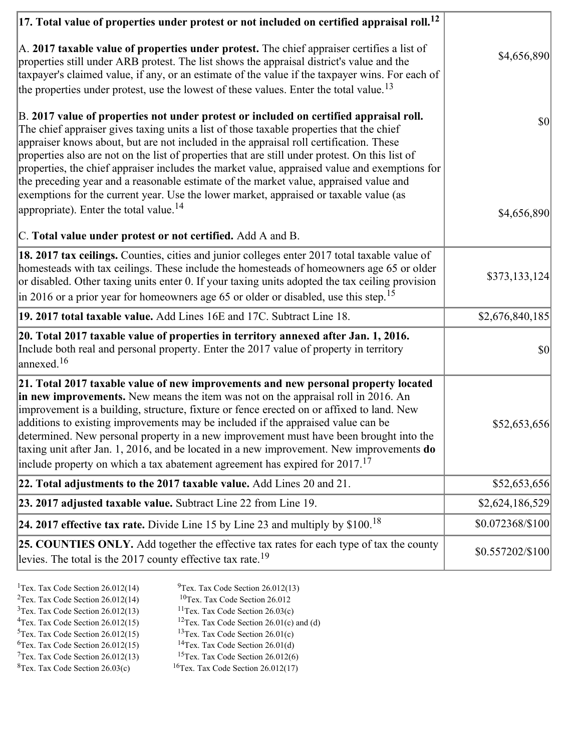| $ 17$ . Total value of properties under protest or not included on certified appraisal roll. <sup>12</sup>                                                                                                                                                                                                                                                                                                                                                                                                                                                                                                                                                         |                  |
|--------------------------------------------------------------------------------------------------------------------------------------------------------------------------------------------------------------------------------------------------------------------------------------------------------------------------------------------------------------------------------------------------------------------------------------------------------------------------------------------------------------------------------------------------------------------------------------------------------------------------------------------------------------------|------------------|
| $\vert$ A. 2017 taxable value of properties under protest. The chief appraiser certifies a list of<br>properties still under ARB protest. The list shows the appraisal district's value and the<br>taxpayer's claimed value, if any, or an estimate of the value if the taxpayer wins. For each of                                                                                                                                                                                                                                                                                                                                                                 | \$4,656,890      |
| the properties under protest, use the lowest of these values. Enter the total value. <sup>13</sup>                                                                                                                                                                                                                                                                                                                                                                                                                                                                                                                                                                 |                  |
| B. 2017 value of properties not under protest or included on certified appraisal roll.<br>The chief appraiser gives taxing units a list of those taxable properties that the chief<br>appraiser knows about, but are not included in the appraisal roll certification. These<br>properties also are not on the list of properties that are still under protest. On this list of<br>properties, the chief appraiser includes the market value, appraised value and exemptions for<br>the preceding year and a reasonable estimate of the market value, appraised value and<br>exemptions for the current year. Use the lower market, appraised or taxable value (as | $ 10\rangle$     |
| appropriate). Enter the total value. <sup>14</sup>                                                                                                                                                                                                                                                                                                                                                                                                                                                                                                                                                                                                                 | \$4,656,890      |
| C. Total value under protest or not certified. Add A and B.                                                                                                                                                                                                                                                                                                                                                                                                                                                                                                                                                                                                        |                  |
| 18. 2017 tax ceilings. Counties, cities and junior colleges enter 2017 total taxable value of<br>homesteads with tax ceilings. These include the homesteads of homeowners age 65 or older<br>or disabled. Other taxing units enter 0. If your taxing units adopted the tax ceiling provision<br>$\vert$ in 2016 or a prior year for homeowners age 65 or older or disabled, use this step. <sup>15</sup>                                                                                                                                                                                                                                                           | \$373,133,124    |
| 19. 2017 total taxable value. Add Lines 16E and 17C. Subtract Line 18.                                                                                                                                                                                                                                                                                                                                                                                                                                                                                                                                                                                             | \$2,676,840,185  |
| 20. Total 2017 taxable value of properties in territory annexed after Jan. 1, 2016.<br>Include both real and personal property. Enter the 2017 value of property in territory<br>$\alpha$ annexed. <sup>16</sup>                                                                                                                                                                                                                                                                                                                                                                                                                                                   | $ 10\rangle$     |
| 21. Total 2017 taxable value of new improvements and new personal property located<br>in new improvements. New means the item was not on the appraisal roll in 2016. An<br>improvement is a building, structure, fixture or fence erected on or affixed to land. New<br>additions to existing improvements may be included if the appraised value can be<br>determined. New personal property in a new improvement must have been brought into the<br>taxing unit after Jan. 1, 2016, and be located in a new improvement. New improvements do<br>include property on which a tax abatement agreement has expired for $2017$ . <sup>17</sup>                       | \$52,653,656     |
| 22. Total adjustments to the 2017 taxable value. Add Lines 20 and 21.                                                                                                                                                                                                                                                                                                                                                                                                                                                                                                                                                                                              | \$52,653,656     |
| 23. 2017 adjusted taxable value. Subtract Line 22 from Line 19.                                                                                                                                                                                                                                                                                                                                                                                                                                                                                                                                                                                                    | \$2,624,186,529  |
| 24. 2017 effective tax rate. Divide Line 15 by Line 23 and multiply by $$100$ . <sup>18</sup>                                                                                                                                                                                                                                                                                                                                                                                                                                                                                                                                                                      | \$0.072368/\$100 |
| <b>25. COUNTIES ONLY.</b> Add together the effective tax rates for each type of tax the county<br>levies. The total is the 2017 county effective tax rate. <sup>19</sup>                                                                                                                                                                                                                                                                                                                                                                                                                                                                                           | \$0.557202/\$100 |
|                                                                                                                                                                                                                                                                                                                                                                                                                                                                                                                                                                                                                                                                    |                  |

- <sup>1</sup>Tex. Tax Code Section 26.012(14) <sup>9</sup>Tex. Tax Code Section 26.012(13)
	-
- <sup>2</sup>Tex. Tax Code Section 26.012(14) <sup>10</sup>Tex. Tax Code Section 26.012<br><sup>3</sup>Tex. Tax Code Section 26.012(13) <sup>11</sup>Tex. Tax Code Section 26.03(c)
- $3$ Tex. Tax Code Section 26.012(13)<br> $4$ Tex. Tax Code Section 26.012(15) <sup>12</sup>Tex. Tax Code Section 26.01(c) and (d) <sup>13</sup>Tex. Tax Code Section 26.01(c)
- $5$ Tex. Tax Code Section 26.012(15)
- 
- 
- $7$ Tex. Tax Code Section 26.012(13)<br><sup>8</sup>Tex. Tax Code Section 26.03(c)
- <sup>6</sup>Tex. Tax Code Section 26.012(15) <sup>14</sup>Tex. Tax Code Section 26.01(d)<br><sup>7</sup>Tex. Tax Code Section 26.012(13) <sup>15</sup>Tex. Tax Code Section 26.012(6)
	- $16$ Tex. Tax Code Section 26.012(17)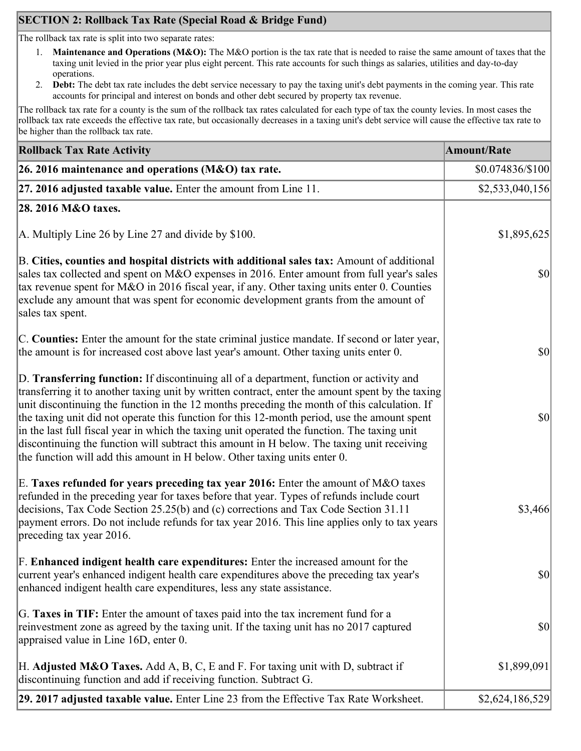# **SECTION 2: Rollback Tax Rate (Special Road & Bridge Fund)**

The rollback tax rate is split into two separate rates:

- 1. **Maintenance and Operations (M&O):** The M&O portion is the tax rate that is needed to raise the same amount of taxes that the taxing unit levied in the prior year plus eight percent. This rate accounts for such things as salaries, utilities and day-to-day operations.
- 2. **Debt:** The debt tax rate includes the debt service necessary to pay the taxing unit's debt payments in the coming year. This rate accounts for principal and interest on bonds and other debt secured by property tax revenue.

The rollback tax rate for a county is the sum of the rollback tax rates calculated for each type of tax the county levies. In most cases the rollback tax rate exceeds the effective tax rate, but occasionally decreases in a taxing unit's debt service will cause the effective tax rate to be higher than the rollback tax rate.

| <b>Rollback Tax Rate Activity</b>                                                                                                                                                                                                                                                                                                                                                                                                                                                                                                                                                                                                                                       | <b>Amount/Rate</b> |
|-------------------------------------------------------------------------------------------------------------------------------------------------------------------------------------------------------------------------------------------------------------------------------------------------------------------------------------------------------------------------------------------------------------------------------------------------------------------------------------------------------------------------------------------------------------------------------------------------------------------------------------------------------------------------|--------------------|
| 26. 2016 maintenance and operations ( $M&O$ ) tax rate.                                                                                                                                                                                                                                                                                                                                                                                                                                                                                                                                                                                                                 | \$0.074836/\$100   |
| 27. 2016 adjusted taxable value. Enter the amount from Line 11.                                                                                                                                                                                                                                                                                                                                                                                                                                                                                                                                                                                                         | \$2,533,040,156    |
| 28. 2016 M&O taxes.                                                                                                                                                                                                                                                                                                                                                                                                                                                                                                                                                                                                                                                     |                    |
| A. Multiply Line 26 by Line 27 and divide by \$100.                                                                                                                                                                                                                                                                                                                                                                                                                                                                                                                                                                                                                     | \$1,895,625        |
| B. Cities, counties and hospital districts with additional sales tax: Amount of additional<br>sales tax collected and spent on M&O expenses in 2016. Enter amount from full year's sales<br>tax revenue spent for M&O in 2016 fiscal year, if any. Other taxing units enter 0. Counties<br>exclude any amount that was spent for economic development grants from the amount of<br>sales tax spent.                                                                                                                                                                                                                                                                     | $ 10\rangle$       |
| C. Counties: Enter the amount for the state criminal justice mandate. If second or later year,<br>the amount is for increased cost above last year's amount. Other taxing units enter 0.                                                                                                                                                                                                                                                                                                                                                                                                                                                                                | $ 10\rangle$       |
| D. Transferring function: If discontinuing all of a department, function or activity and<br>transferring it to another taxing unit by written contract, enter the amount spent by the taxing<br>unit discontinuing the function in the 12 months preceding the month of this calculation. If<br>the taxing unit did not operate this function for this 12-month period, use the amount spent<br>in the last full fiscal year in which the taxing unit operated the function. The taxing unit<br>discontinuing the function will subtract this amount in H below. The taxing unit receiving<br>the function will add this amount in H below. Other taxing units enter 0. | $ 10\rangle$       |
| E. Taxes refunded for years preceding tax year 2016: Enter the amount of M&O taxes<br>refunded in the preceding year for taxes before that year. Types of refunds include court<br>decisions, Tax Code Section 25.25(b) and (c) corrections and Tax Code Section 31.11<br>payment errors. Do not include refunds for tax year 2016. This line applies only to tax years<br>preceding tax year 2016.                                                                                                                                                                                                                                                                     | \$3,466            |
| F. Enhanced indigent health care expenditures: Enter the increased amount for the<br>current year's enhanced indigent health care expenditures above the preceding tax year's<br>enhanced indigent health care expenditures, less any state assistance.                                                                                                                                                                                                                                                                                                                                                                                                                 | $ 10\rangle$       |
| G. Taxes in TIF: Enter the amount of taxes paid into the tax increment fund for a<br>reinvestment zone as agreed by the taxing unit. If the taxing unit has no 2017 captured<br>appraised value in Line 16D, enter 0.                                                                                                                                                                                                                                                                                                                                                                                                                                                   | $ 10\rangle$       |
| H. Adjusted M&O Taxes. Add A, B, C, E and F. For taxing unit with D, subtract if<br>discontinuing function and add if receiving function. Subtract G.                                                                                                                                                                                                                                                                                                                                                                                                                                                                                                                   | \$1,899,091        |
| 29. 2017 adjusted taxable value. Enter Line 23 from the Effective Tax Rate Worksheet.                                                                                                                                                                                                                                                                                                                                                                                                                                                                                                                                                                                   | \$2,624,186,529    |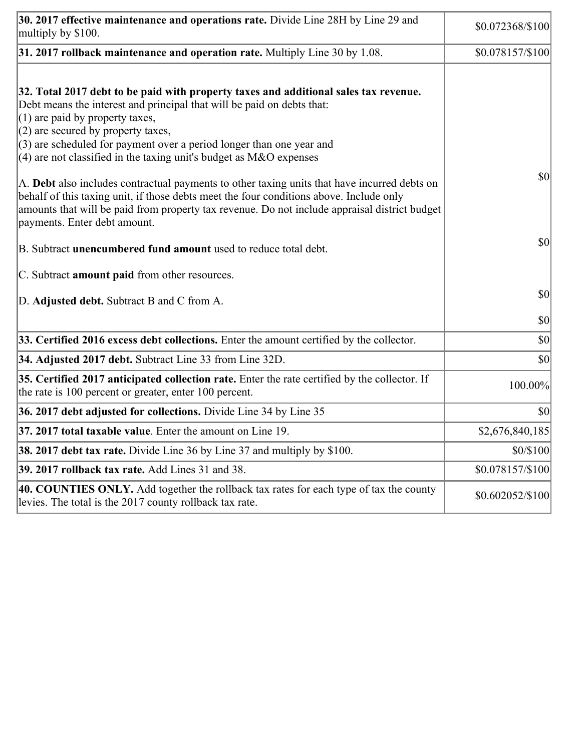| 30. 2017 effective maintenance and operations rate. Divide Line 28H by Line 29 and<br>multiply by \$100.                                                                                                                                                                                                                                                                                      | \$0.072368/\$100              |
|-----------------------------------------------------------------------------------------------------------------------------------------------------------------------------------------------------------------------------------------------------------------------------------------------------------------------------------------------------------------------------------------------|-------------------------------|
| $31.2017$ rollback maintenance and operation rate. Multiply Line 30 by 1.08.                                                                                                                                                                                                                                                                                                                  | \$0.078157/\$100              |
| 32. Total 2017 debt to be paid with property taxes and additional sales tax revenue.<br>Debt means the interest and principal that will be paid on debts that:<br>$(1)$ are paid by property taxes,<br>$(2)$ are secured by property taxes,<br>$(3)$ are scheduled for payment over a period longer than one year and<br>$(4)$ are not classified in the taxing unit's budget as M&O expenses |                               |
| A. Debt also includes contractual payments to other taxing units that have incurred debts on<br>behalf of this taxing unit, if those debts meet the four conditions above. Include only<br>amounts that will be paid from property tax revenue. Do not include appraisal district budget<br>payments. Enter debt amount.                                                                      | $ 10\rangle$                  |
| B. Subtract <b>unencumbered fund amount</b> used to reduce total debt.                                                                                                                                                                                                                                                                                                                        | $ 10\rangle$                  |
| C. Subtract <b>amount paid</b> from other resources.                                                                                                                                                                                                                                                                                                                                          |                               |
| D. Adjusted debt. Subtract B and C from A.                                                                                                                                                                                                                                                                                                                                                    | $ 10\rangle$                  |
|                                                                                                                                                                                                                                                                                                                                                                                               | $ 10\rangle$                  |
| 33. Certified 2016 excess debt collections. Enter the amount certified by the collector.                                                                                                                                                                                                                                                                                                      | $ 10\rangle$                  |
| 34. Adjusted 2017 debt. Subtract Line 33 from Line 32D.                                                                                                                                                                                                                                                                                                                                       | \$0                           |
| 35. Certified 2017 anticipated collection rate. Enter the rate certified by the collector. If<br>the rate is 100 percent or greater, enter 100 percent.                                                                                                                                                                                                                                       | 100.00%                       |
| 36. 2017 debt adjusted for collections. Divide Line 34 by Line 35                                                                                                                                                                                                                                                                                                                             | $ 10\rangle$                  |
| <b>37. 2017 total taxable value.</b> Enter the amount on Line 19.                                                                                                                                                                                                                                                                                                                             | \$2,676,840,185               |
| <b>38. 2017 debt tax rate.</b> Divide Line 36 by Line 37 and multiply by \$100.                                                                                                                                                                                                                                                                                                               | \$0/\$100                     |
| 39. 2017 rollback tax rate. Add Lines 31 and 38.                                                                                                                                                                                                                                                                                                                                              | \$0.078157/\$100              |
| 40. COUNTIES ONLY. Add together the rollback tax rates for each type of tax the county<br>levies. The total is the 2017 county rollback tax rate.                                                                                                                                                                                                                                             | $$0.602052\allowbreak/\$100]$ |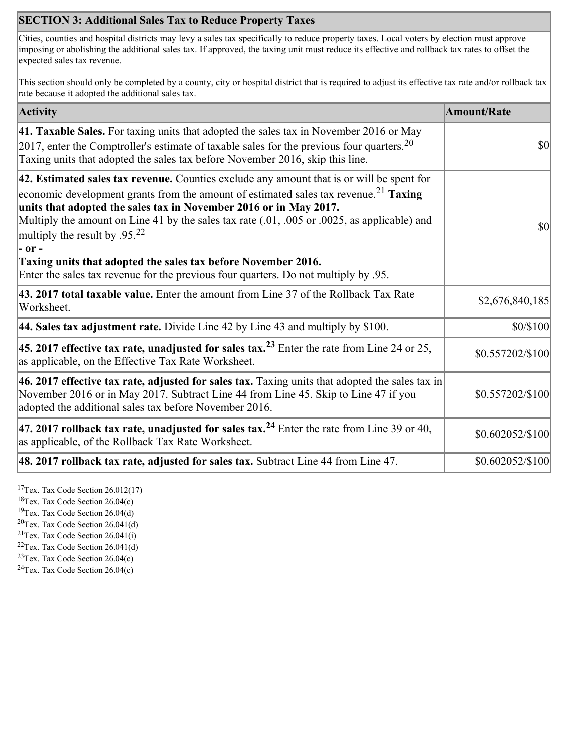## **SECTION 3: Additional Sales Tax to Reduce Property Taxes**

Cities, counties and hospital districts may levy a sales tax specifically to reduce property taxes. Local voters by election must approve imposing or abolishing the additional sales tax. If approved, the taxing unit must reduce its effective and rollback tax rates to offset the expected sales tax revenue.

This section should only be completed by a county, city or hospital district that is required to adjust its effective tax rate and/or rollback tax rate because it adopted the additional sales tax.

| <b>Activity</b>                                                                                                                                                                                                                                                                                                                                                                                                    | <b>Amount/Rate</b>            |
|--------------------------------------------------------------------------------------------------------------------------------------------------------------------------------------------------------------------------------------------------------------------------------------------------------------------------------------------------------------------------------------------------------------------|-------------------------------|
| 41. Taxable Sales. For taxing units that adopted the sales tax in November 2016 or May<br>[2017, enter the Comptroller's estimate of taxable sales for the previous four quarters. <sup>20</sup><br>Taxing units that adopted the sales tax before November 2016, skip this line.                                                                                                                                  | \$0                           |
| 42. Estimated sales tax revenue. Counties exclude any amount that is or will be spent for<br>economic development grants from the amount of estimated sales tax revenue. <sup>21</sup> Taxing<br>units that adopted the sales tax in November 2016 or in May 2017.<br>Multiply the amount on Line 41 by the sales tax rate (.01, .005 or .0025, as applicable) and<br>multiply the result by $.95^{22}$<br> - or - | \$0                           |
| Taxing units that adopted the sales tax before November 2016.<br>Enter the sales tax revenue for the previous four quarters. Do not multiply by .95.                                                                                                                                                                                                                                                               |                               |
| 43. 2017 total taxable value. Enter the amount from Line 37 of the Rollback Tax Rate<br>Worksheet.                                                                                                                                                                                                                                                                                                                 | \$2,676,840,185               |
| <b>44. Sales tax adjustment rate.</b> Divide Line 42 by Line 43 and multiply by \$100.                                                                                                                                                                                                                                                                                                                             | \$0/\$100                     |
| 45. 2017 effective tax rate, unadjusted for sales tax. <sup>23</sup> Enter the rate from Line 24 or 25,<br>as applicable, on the Effective Tax Rate Worksheet.                                                                                                                                                                                                                                                     | \$0.557202/\$100              |
| 46. 2017 effective tax rate, adjusted for sales tax. Taxing units that adopted the sales tax in<br>November 2016 or in May 2017. Subtract Line 44 from Line 45. Skip to Line 47 if you<br>adopted the additional sales tax before November 2016.                                                                                                                                                                   | \$0.557202/\$100              |
| 47. 2017 rollback tax rate, unadjusted for sales tax. <sup>24</sup> Enter the rate from Line 39 or 40,<br>as applicable, of the Rollback Tax Rate Worksheet.                                                                                                                                                                                                                                                       | \$0.602052/\$100              |
| $ 48.2017$ rollback tax rate, adjusted for sales tax. Subtract Line 44 from Line 47.                                                                                                                                                                                                                                                                                                                               | $$0.602052\allowbreak/\$100]$ |

<sup>17</sup>Tex. Tax Code Section  $26.012(17)$ 

<sup>18</sup>Tex. Tax Code Section 26.04(c)

<sup>19</sup>Tex. Tax Code Section 26.04(d)  ${}^{20}$ Tex. Tax Code Section 26.041(d)

<sup>21</sup>Tex. Tax Code Section  $26.041(i)$ 

 $22$ Tex. Tax Code Section 26.041(d)

<sup>23</sup>Tex. Tax Code Section 26.04(c)

 $24$ Tex. Tax Code Section 26.04(c)